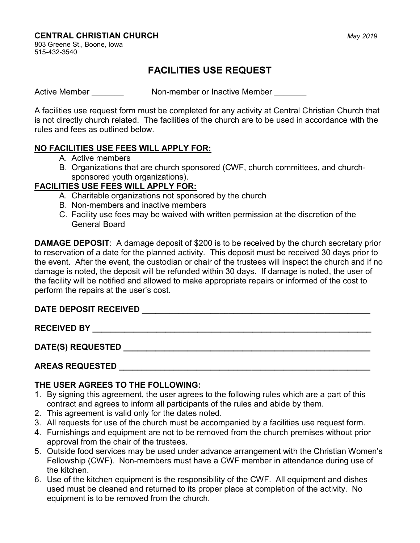#### CENTRAL CHRISTIAN CHURCH **CENTRAL CHRISTIAN CHURCH**

803 Greene St., Boone, Iowa 515-432-3540

# FACILITIES USE REQUEST

Active Member **Non-member or Inactive Member** Member

A facilities use request form must be completed for any activity at Central Christian Church that is not directly church related. The facilities of the church are to be used in accordance with the rules and fees as outlined below.

## NO FACILITIES USE FEES WILL APPLY FOR:

- A. Active members
- B. Organizations that are church sponsored (CWF, church committees, and churchsponsored youth organizations).

#### FACILITIES USE FEES WILL APPLY FOR:

- A. Charitable organizations not sponsored by the church
- B. Non-members and inactive members
- C. Facility use fees may be waived with written permission at the discretion of the General Board

DAMAGE DEPOSIT: A damage deposit of \$200 is to be received by the church secretary prior to reservation of a date for the planned activity. This deposit must be received 30 days prior to the event. After the event, the custodian or chair of the trustees will inspect the church and if no damage is noted, the deposit will be refunded within 30 days. If damage is noted, the user of the facility will be notified and allowed to make appropriate repairs or informed of the cost to perform the repairs at the user's cost.

# DATE DEPOSIT RECEIVED \_\_\_\_\_\_\_\_\_\_\_\_\_\_\_\_\_\_\_\_\_\_\_\_\_\_\_\_\_\_\_\_\_\_\_\_\_\_\_\_\_\_\_\_\_\_\_\_\_\_

RECEIVED BY \_\_\_\_\_\_\_\_\_\_\_\_\_\_\_\_\_\_\_\_\_\_\_\_\_\_\_\_\_\_\_\_\_\_\_\_\_\_\_\_\_\_\_\_\_\_\_\_\_\_\_\_\_\_\_\_\_\_\_\_\_

DATE(S) REQUESTED \_\_\_\_\_\_\_\_\_\_\_\_\_\_\_\_\_\_\_\_\_\_\_\_\_\_\_\_\_\_\_\_\_\_\_\_\_\_\_\_\_\_\_\_\_\_\_\_\_\_\_\_\_\_

## AREAS REQUESTED

#### THE USER AGREES TO THE FOLLOWING:

- 1. By signing this agreement, the user agrees to the following rules which are a part of this contract and agrees to inform all participants of the rules and abide by them.
- 2. This agreement is valid only for the dates noted.
- 3. All requests for use of the church must be accompanied by a facilities use request form.
- 4. Furnishings and equipment are not to be removed from the church premises without prior approval from the chair of the trustees.
- 5. Outside food services may be used under advance arrangement with the Christian Women's Fellowship (CWF). Non-members must have a CWF member in attendance during use of the kitchen.
- 6. Use of the kitchen equipment is the responsibility of the CWF. All equipment and dishes used must be cleaned and returned to its proper place at completion of the activity. No equipment is to be removed from the church.